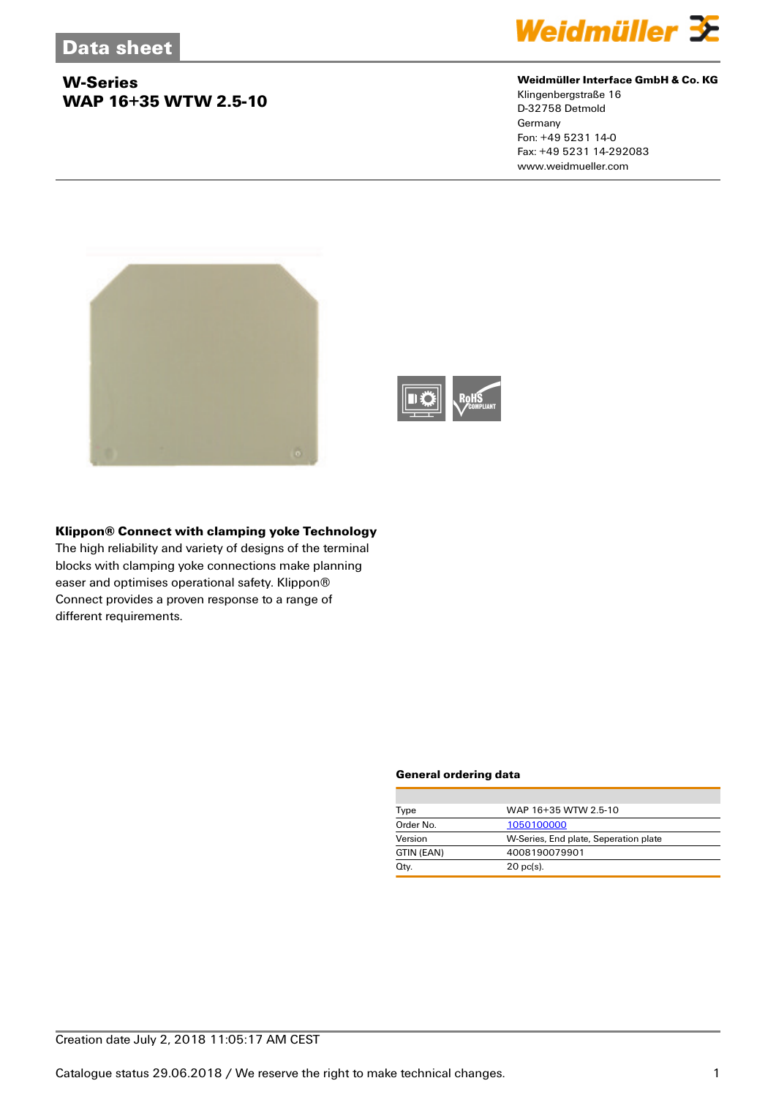# **W-Series WAP 16+35 WTW 2.5-10**



#### **Weidmüller Interface GmbH & Co. KG**

Klingenbergstraße 16 D-32758 Detmold **Germany** Fon: +49 5231 14-0 Fax: +49 5231 14-292083 www.weidmueller.com





## **Klippon® Connect with clamping yoke Technology**

The high reliability and variety of designs of the terminal blocks with clamping yoke connections make planning easer and optimises operational safety. Klippon® Connect provides a proven response to a range of different requirements.

#### **General ordering data**

| Type       | WAP 16+35 WTW 2.5-10                  |  |  |
|------------|---------------------------------------|--|--|
| Order No.  | 1050100000                            |  |  |
| Version    | W-Series, End plate, Seperation plate |  |  |
| GTIN (EAN) | 4008190079901                         |  |  |
| Qty.       | $20$ pc(s).                           |  |  |